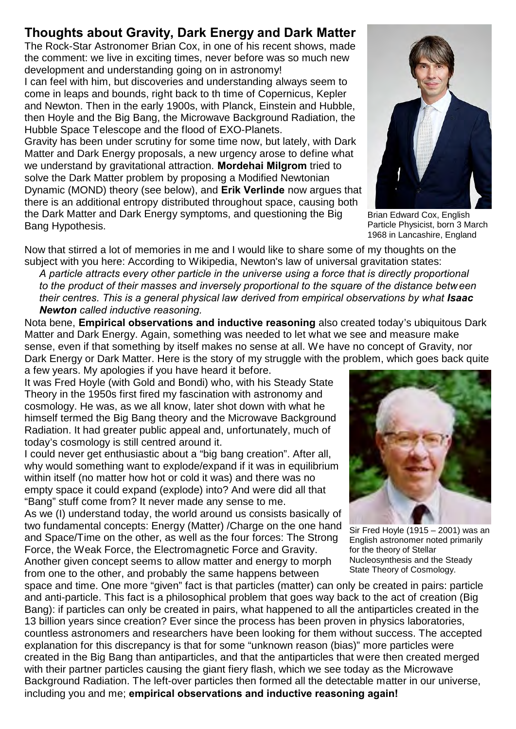## **Thoughts about Gravity, Dark Energy and Dark Matter**

The Rock-Star Astronomer Brian Cox, in one of his recent shows, made the comment: we live in exciting times, never before was so much new development and understanding going on in astronomy!

I can feel with him, but discoveries and understanding always seem to come in leaps and bounds, right back to th time of Copernicus, Kepler and Newton. Then in the early 1900s, with Planck, Einstein and Hubble, then Hoyle and the Big Bang, the Microwave Background Radiation, the Hubble Space Telescope and the flood of EXO-Planets.

Gravity has been under scrutiny for some time now, but lately, with Dark Matter and Dark Energy proposals, a new urgency arose to define what we understand by gravitational attraction. **Mordehai Milgrom** tried to solve the Dark Matter problem by proposing a Modified Newtonian Dynamic (MOND) theory (see below), and **Erik Verlinde** now argues that there is an additional entropy distributed throughout space, causing both the Dark Matter and Dark Energy symptoms, and questioning the Big Bang Hypothesis.



Brian Edward Cox, English Particle Physicist, born 3 March 1968 in Lancashire, England

Now that stirred a lot of memories in me and I would like to share some of my thoughts on the subject with you here: According to Wikipedia, Newton's law of universal gravitation states:

*A particle attracts every other particle in the universe using a force that is directly proportional to the product of their masses and inversely proportional to the square of the distance betw een their centres. This is a general physical law derived from empirical observations by what Isaac Newton called inductive reasoning.*

Nota bene, **Empirical observations and inductive reasoning** also created today's ubiquitous Dark Matter and Dark Energy. Again, something was needed to let what we see and measure make sense, even if that something by itself makes no sense at all. We have no concept of Gravity, nor Dark Energy or Dark Matter. Here is the story of my struggle with the problem, which goes back quite a few years. My apologies if you have heard it before.

It was Fred Hoyle (with Gold and Bondi) who, with his Steady State Theory in the 1950s first fired my fascination with astronomy and cosmology. He was, as we all know, later shot down with what he himself termed the Big Bang theory and the Microwave Background Radiation. It had greater public appeal and, unfortunately, much of today's cosmology is still centred around it.

I could never get enthusiastic about a "big bang creation". After all, why would something want to explode/expand if it was in equilibrium within itself (no matter how hot or cold it was) and there was no empty space it could expand (explode) into? And were did all that "Bang" stuff come from? It never made any sense to me.

As we (I) understand today, the world around us consists basically of two fundamental concepts: Energy (Matter) /Charge on the one hand and Space/Time on the other, as well as the four forces: The Strong Force, the Weak Force, the Electromagnetic Force and Gravity. Another given concept seems to allow matter and energy to morph from one to the other, and probably the same happens between

space and time. One more "given" fact is that particles (matter) can only be created in pairs: particle and anti-particle. This fact is a philosophical problem that goes way back to the act of creation (Big Bang): if particles can only be created in pairs, what happened to all the antiparticles created in the 13 billion years since creation? Ever since the process has been proven in physics laboratories, countless astronomers and researchers have been looking for them without success. The accepted explanation for this discrepancy is that for some "unknown reason (bias)" more particles were created in the Big Bang than antiparticles, and that the antiparticles that were then created merged with their partner particles causing the giant fiery flash, which we see today as the Microwave Background Radiation. The left-over particles then formed all the detectable matter in our universe, including you and me; **empirical observations and inductive reasoning again!**



Sir Fred Hoyle (1915 – 2001) was an English astronomer noted primarily for the theory of Stellar Nucleosynthesis and the Steady State Theory of Cosmology.